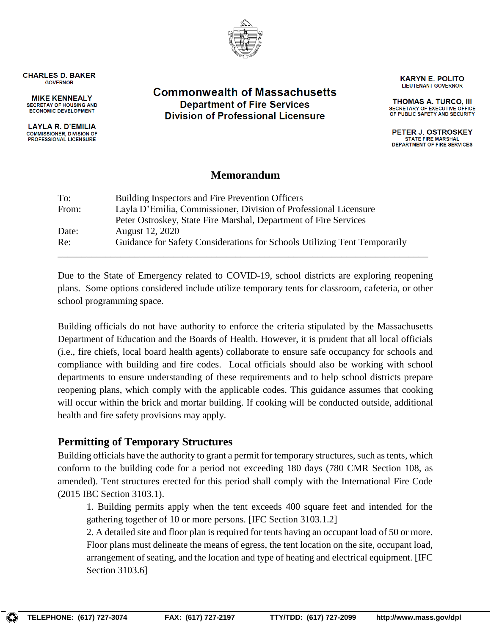

**CHARLES D. BAKER GOVERNOR** 

**MIKE KENNEALY** SECRETAY OF HOUSING AND ECONOMIC DEVELOPMENT

**LAYLA R. D'EMILIA COMMISSIONER, DIVISION OF PROFESSIONAL LICENSURE** 

#### **Commonwealth of Massachusetts Department of Fire Services Division of Professional Licensure**

**LIEUTENANT GOVERNOR THOMAS A. TURCO, III** 

SECRETARY OF EXECUTIVE OFFICE OF PUBLIC SAFETY AND SECURITY

**KARYN E. POLITO** 

PETER J. OSTROSKEY **STATE FIRE MARSHAL** DEPARTMENT OF FIRE SERVICES

#### **Memorandum**

| To:<br>From: | Building Inspectors and Fire Prevention Officers<br>Layla D'Emilia, Commissioner, Division of Professional Licensure |
|--------------|----------------------------------------------------------------------------------------------------------------------|
| Date:        | Peter Ostroskey, State Fire Marshal, Department of Fire Services<br>August 12, 2020                                  |
| Re:          | Guidance for Safety Considerations for Schools Utilizing Tent Temporarily                                            |

Due to the State of Emergency related to COVID-19, school districts are exploring reopening plans. Some options considered include utilize temporary tents for classroom, cafeteria, or other school programming space.

Building officials do not have authority to enforce the criteria stipulated by the Massachusetts Department of Education and the Boards of Health. However, it is prudent that all local officials (i.e., fire chiefs, local board health agents) collaborate to ensure safe occupancy for schools and compliance with building and fire codes. Local officials should also be working with school departments to ensure understanding of these requirements and to help school districts prepare reopening plans, which comply with the applicable codes. This guidance assumes that cooking will occur within the brick and mortar building. If cooking will be conducted outside, additional health and fire safety provisions may apply.

## **Permitting of Temporary Structures**

Building officials have the authority to grant a permit for temporary structures, such as tents, which conform to the building code for a period not exceeding 180 days (780 CMR Section 108, as amended). Tent structures erected for this period shall comply with the International Fire Code (2015 IBC Section 3103.1).

1. Building permits apply when the tent exceeds 400 square feet and intended for the gathering together of 10 or more persons. [IFC Section 3103.1.2]

2. A detailed site and floor plan is required for tents having an occupant load of 50 or more. Floor plans must delineate the means of egress, the tent location on the site, occupant load, arrangement of seating, and the location and type of heating and electrical equipment. [IFC Section 3103.6]

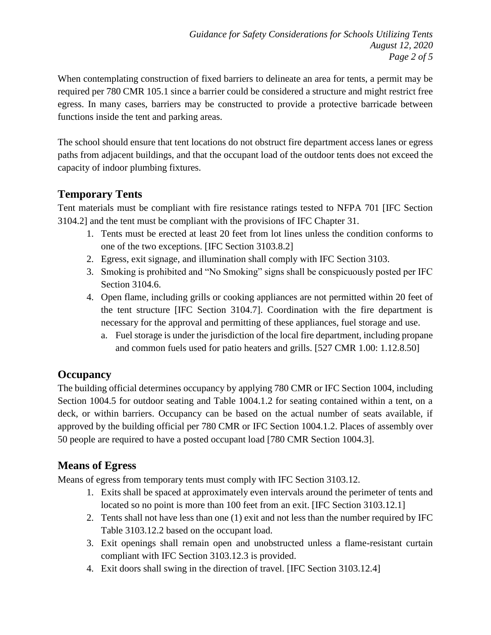When contemplating construction of fixed barriers to delineate an area for tents, a permit may be required per 780 CMR 105.1 since a barrier could be considered a structure and might restrict free egress. In many cases, barriers may be constructed to provide a protective barricade between functions inside the tent and parking areas.

The school should ensure that tent locations do not obstruct fire department access lanes or egress paths from adjacent buildings, and that the occupant load of the outdoor tents does not exceed the capacity of indoor plumbing fixtures.

# **Temporary Tents**

Tent materials must be compliant with fire resistance ratings tested to NFPA 701 [IFC Section 3104.2] and the tent must be compliant with the provisions of IFC Chapter 31.

- 1. Tents must be erected at least 20 feet from lot lines unless the condition conforms to one of the two exceptions. [IFC Section 3103.8.2]
- 2. Egress, exit signage, and illumination shall comply with IFC Section 3103.
- 3. Smoking is prohibited and "No Smoking" signs shall be conspicuously posted per IFC Section 3104.6.
- 4. Open flame, including grills or cooking appliances are not permitted within 20 feet of the tent structure [IFC Section 3104.7]. Coordination with the fire department is necessary for the approval and permitting of these appliances, fuel storage and use.
	- a. Fuel storage is under the jurisdiction of the local fire department, including propane and common fuels used for patio heaters and grills. [527 CMR 1.00: 1.12.8.50]

## **Occupancy**

The building official determines occupancy by applying 780 CMR or IFC Section 1004, including Section 1004.5 for outdoor seating and Table 1004.1.2 for seating contained within a tent, on a deck, or within barriers. Occupancy can be based on the actual number of seats available, if approved by the building official per 780 CMR or IFC Section 1004.1.2. Places of assembly over 50 people are required to have a posted occupant load [780 CMR Section 1004.3].

# **Means of Egress**

Means of egress from temporary tents must comply with IFC Section 3103.12.

- 1. Exits shall be spaced at approximately even intervals around the perimeter of tents and located so no point is more than 100 feet from an exit. [IFC Section 3103.12.1]
- 2. Tents shall not have less than one (1) exit and not less than the number required by IFC Table 3103.12.2 based on the occupant load.
- 3. Exit openings shall remain open and unobstructed unless a flame-resistant curtain compliant with IFC Section 3103.12.3 is provided.
- 4. Exit doors shall swing in the direction of travel. [IFC Section 3103.12.4]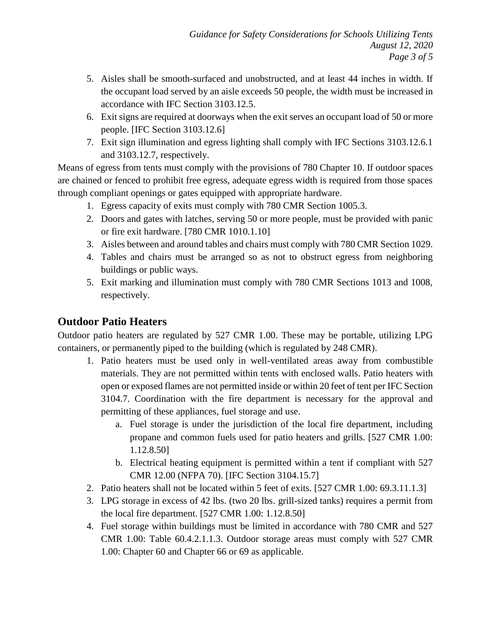- 5. Aisles shall be smooth-surfaced and unobstructed, and at least 44 inches in width. If the occupant load served by an aisle exceeds 50 people, the width must be increased in accordance with IFC Section 3103.12.5.
- 6. Exit signs are required at doorways when the exit serves an occupant load of 50 or more people. [IFC Section 3103.12.6]
- 7. Exit sign illumination and egress lighting shall comply with IFC Sections 3103.12.6.1 and 3103.12.7, respectively.

Means of egress from tents must comply with the provisions of 780 Chapter 10. If outdoor spaces are chained or fenced to prohibit free egress, adequate egress width is required from those spaces through compliant openings or gates equipped with appropriate hardware.

- 1. Egress capacity of exits must comply with 780 CMR Section 1005.3.
- 2. Doors and gates with latches, serving 50 or more people, must be provided with panic or fire exit hardware. [780 CMR 1010.1.10]
- 3. Aisles between and around tables and chairs must comply with 780 CMR Section 1029.
- 4. Tables and chairs must be arranged so as not to obstruct egress from neighboring buildings or public ways.
- 5. Exit marking and illumination must comply with 780 CMR Sections 1013 and 1008, respectively.

## **Outdoor Patio Heaters**

Outdoor patio heaters are regulated by 527 CMR 1.00. These may be portable, utilizing LPG containers, or permanently piped to the building (which is regulated by 248 CMR).

- 1. Patio heaters must be used only in well-ventilated areas away from combustible materials. They are not permitted within tents with enclosed walls. Patio heaters with open or exposed flames are not permitted inside or within 20 feet of tent per IFC Section 3104.7. Coordination with the fire department is necessary for the approval and permitting of these appliances, fuel storage and use.
	- a. Fuel storage is under the jurisdiction of the local fire department, including propane and common fuels used for patio heaters and grills. [527 CMR 1.00: 1.12.8.50]
	- b. Electrical heating equipment is permitted within a tent if compliant with 527 CMR 12.00 (NFPA 70). [IFC Section 3104.15.7]
- 2. Patio heaters shall not be located within 5 feet of exits. [527 CMR 1.00: 69.3.11.1.3]
- 3. LPG storage in excess of 42 lbs. (two 20 lbs. grill-sized tanks) requires a permit from the local fire department. [527 CMR 1.00: 1.12.8.50]
- 4. Fuel storage within buildings must be limited in accordance with 780 CMR and 527 CMR 1.00: Table 60.4.2.1.1.3. Outdoor storage areas must comply with 527 CMR 1.00: Chapter 60 and Chapter 66 or 69 as applicable.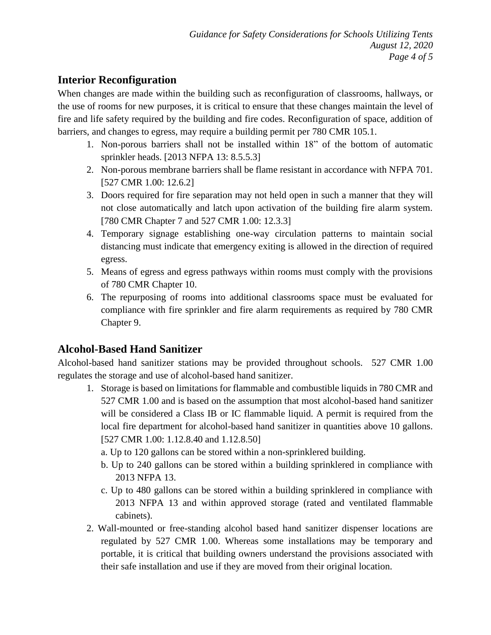#### **Interior Reconfiguration**

When changes are made within the building such as reconfiguration of classrooms, hallways, or the use of rooms for new purposes, it is critical to ensure that these changes maintain the level of fire and life safety required by the building and fire codes. Reconfiguration of space, addition of barriers, and changes to egress, may require a building permit per 780 CMR 105.1.

- 1. Non-porous barriers shall not be installed within 18" of the bottom of automatic sprinkler heads. [2013 NFPA 13: 8.5.5.3]
- 2. Non-porous membrane barriers shall be flame resistant in accordance with NFPA 701. [527 CMR 1.00: 12.6.2]
- 3. Doors required for fire separation may not held open in such a manner that they will not close automatically and latch upon activation of the building fire alarm system. [780 CMR Chapter 7 and 527 CMR 1.00: 12.3.3]
- 4. Temporary signage establishing one-way circulation patterns to maintain social distancing must indicate that emergency exiting is allowed in the direction of required egress.
- 5. Means of egress and egress pathways within rooms must comply with the provisions of 780 CMR Chapter 10.
- 6. The repurposing of rooms into additional classrooms space must be evaluated for compliance with fire sprinkler and fire alarm requirements as required by 780 CMR Chapter 9.

## **Alcohol-Based Hand Sanitizer**

Alcohol-based hand sanitizer stations may be provided throughout schools. 527 CMR 1.00 regulates the storage and use of alcohol-based hand sanitizer.

- 1. Storage is based on limitations for flammable and combustible liquids in 780 CMR and 527 CMR 1.00 and is based on the assumption that most alcohol-based hand sanitizer will be considered a Class IB or IC flammable liquid. A permit is required from the local fire department for alcohol-based hand sanitizer in quantities above 10 gallons. [527 CMR 1.00: 1.12.8.40 and 1.12.8.50]
	- a. Up to 120 gallons can be stored within a non-sprinklered building.
	- b. Up to 240 gallons can be stored within a building sprinklered in compliance with 2013 NFPA 13.
	- c. Up to 480 gallons can be stored within a building sprinklered in compliance with 2013 NFPA 13 and within approved storage (rated and ventilated flammable cabinets).
- 2. Wall-mounted or free-standing alcohol based hand sanitizer dispenser locations are regulated by 527 CMR 1.00. Whereas some installations may be temporary and portable, it is critical that building owners understand the provisions associated with their safe installation and use if they are moved from their original location.